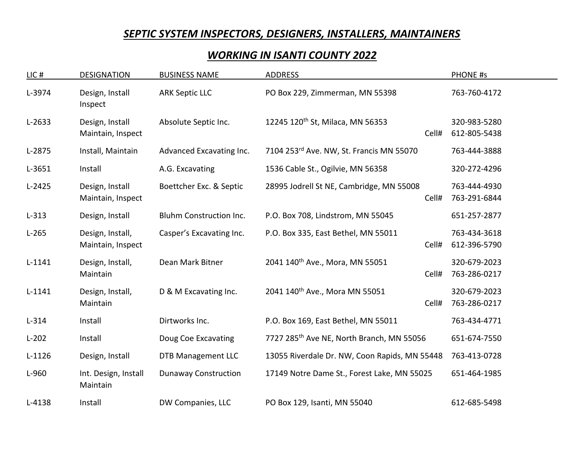## *SEPTIC SYSTEM INSPECTORS, DESIGNERS, INSTALLERS, MAINTAINERS*

## *WORKING IN ISANTI COUNTY 2022*

| LIC#     | <b>DESIGNATION</b>                    | <b>BUSINESS NAME</b>           | <b>ADDRESS</b>                                        | PHONE #s                              |
|----------|---------------------------------------|--------------------------------|-------------------------------------------------------|---------------------------------------|
| L-3974   | Design, Install<br>Inspect            | <b>ARK Septic LLC</b>          | PO Box 229, Zimmerman, MN 55398                       | 763-760-4172                          |
| $L-2633$ | Design, Install<br>Maintain, Inspect  | Absolute Septic Inc.           | 12245 120 <sup>th</sup> St, Milaca, MN 56353          | 320-983-5280<br>Cell#<br>612-805-5438 |
| L-2875   | Install, Maintain                     | Advanced Excavating Inc.       | 7104 253rd Ave. NW, St. Francis MN 55070              | 763-444-3888                          |
| $L-3651$ | Install                               | A.G. Excavating                | 1536 Cable St., Ogilvie, MN 56358                     | 320-272-4296                          |
| $L-2425$ | Design, Install<br>Maintain, Inspect  | Boettcher Exc. & Septic        | 28995 Jodrell St NE, Cambridge, MN 55008              | 763-444-4930<br>Cell#<br>763-291-6844 |
| $L-313$  | Design, Install                       | <b>Bluhm Construction Inc.</b> | P.O. Box 708, Lindstrom, MN 55045                     | 651-257-2877                          |
| $L-265$  | Design, Install,<br>Maintain, Inspect | Casper's Excavating Inc.       | P.O. Box 335, East Bethel, MN 55011                   | 763-434-3618<br>Cell#<br>612-396-5790 |
| $L-1141$ | Design, Install,<br>Maintain          | Dean Mark Bitner               | 2041 140 <sup>th</sup> Ave., Mora, MN 55051           | 320-679-2023<br>763-286-0217<br>Cell# |
| $L-1141$ | Design, Install,<br>Maintain          | D & M Excavating Inc.          | 2041 140 <sup>th</sup> Ave., Mora MN 55051            | 320-679-2023<br>763-286-0217<br>Cell# |
| $L-314$  | Install                               | Dirtworks Inc.                 | P.O. Box 169, East Bethel, MN 55011                   | 763-434-4771                          |
| $L-202$  | Install                               | Doug Coe Excavating            | 7727 285 <sup>th</sup> Ave NE, North Branch, MN 55056 | 651-674-7550                          |
| $L-1126$ | Design, Install                       | <b>DTB Management LLC</b>      | 13055 Riverdale Dr. NW, Coon Rapids, MN 55448         | 763-413-0728                          |
| L-960    | Int. Design, Install<br>Maintain      | <b>Dunaway Construction</b>    | 17149 Notre Dame St., Forest Lake, MN 55025           | 651-464-1985                          |
| L-4138   | Install                               | DW Companies, LLC              | PO Box 129, Isanti, MN 55040                          | 612-685-5498                          |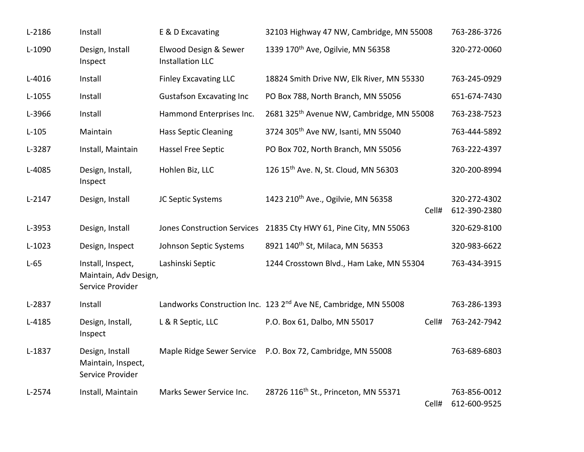| L-2186   | Install                                                        | E & D Excavating                                 | 32103 Highway 47 NW, Cambridge, MN 55008                                    |       | 763-286-3726                 |
|----------|----------------------------------------------------------------|--------------------------------------------------|-----------------------------------------------------------------------------|-------|------------------------------|
| L-1090   | Design, Install<br>Inspect                                     | Elwood Design & Sewer<br><b>Installation LLC</b> | 1339 170 <sup>th</sup> Ave, Ogilvie, MN 56358                               |       | 320-272-0060                 |
| L-4016   | Install                                                        | <b>Finley Excavating LLC</b>                     | 18824 Smith Drive NW, Elk River, MN 55330                                   |       | 763-245-0929                 |
| $L-1055$ | Install                                                        | <b>Gustafson Excavating Inc</b>                  | PO Box 788, North Branch, MN 55056                                          |       | 651-674-7430                 |
| L-3966   | Install                                                        | Hammond Enterprises Inc.                         | 2681 325 <sup>th</sup> Avenue NW, Cambridge, MN 55008                       |       | 763-238-7523                 |
| $L-105$  | Maintain                                                       | <b>Hass Septic Cleaning</b>                      | 3724 305 <sup>th</sup> Ave NW, Isanti, MN 55040                             |       | 763-444-5892                 |
| L-3287   | Install, Maintain                                              | <b>Hassel Free Septic</b>                        | PO Box 702, North Branch, MN 55056                                          |       | 763-222-4397                 |
| L-4085   | Design, Install,<br>Inspect                                    | Hohlen Biz, LLC                                  | 126 15 <sup>th</sup> Ave. N, St. Cloud, MN 56303                            |       | 320-200-8994                 |
| $L-2147$ | Design, Install                                                | JC Septic Systems                                | 1423 210 <sup>th</sup> Ave., Ogilvie, MN 56358                              | Cell# | 320-272-4302<br>612-390-2380 |
| L-3953   | Design, Install                                                |                                                  | Jones Construction Services 21835 Cty HWY 61, Pine City, MN 55063           |       | 320-629-8100                 |
| $L-1023$ | Design, Inspect                                                | Johnson Septic Systems                           | 8921 140 <sup>th</sup> St, Milaca, MN 56353                                 |       | 320-983-6622                 |
| $L-65$   | Install, Inspect,<br>Maintain, Adv Design,<br>Service Provider | Lashinski Septic                                 | 1244 Crosstown Blvd., Ham Lake, MN 55304                                    |       | 763-434-3915                 |
| L-2837   | Install                                                        |                                                  | Landworks Construction Inc. 123 2 <sup>nd</sup> Ave NE, Cambridge, MN 55008 |       | 763-286-1393                 |
| L-4185   | Design, Install,<br>Inspect                                    | L & R Septic, LLC                                | P.O. Box 61, Dalbo, MN 55017                                                | Cell# | 763-242-7942                 |
| L-1837   | Design, Install<br>Maintain, Inspect,<br>Service Provider      | Maple Ridge Sewer Service                        | P.O. Box 72, Cambridge, MN 55008                                            |       | 763-689-6803                 |
| L-2574   | Install, Maintain                                              | Marks Sewer Service Inc.                         | 28726 116 <sup>th</sup> St., Princeton, MN 55371                            | Cell# | 763-856-0012<br>612-600-9525 |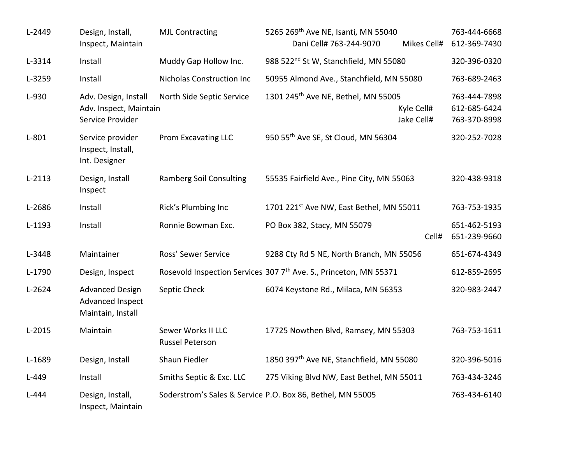| L-2449   | Design, Install,<br>Inspect, Maintain                              | <b>MJL Contracting</b>                       | 5265 269th Ave NE, Isanti, MN 55040<br>Dani Cell# 763-244-9070    | Mikes Cell#              | 763-444-6668<br>612-369-7430                 |
|----------|--------------------------------------------------------------------|----------------------------------------------|-------------------------------------------------------------------|--------------------------|----------------------------------------------|
| L-3314   | Install                                                            | Muddy Gap Hollow Inc.                        | 988 522 <sup>nd</sup> St W, Stanchfield, MN 55080                 |                          | 320-396-0320                                 |
| L-3259   | Install                                                            | <b>Nicholas Construction Inc</b>             | 50955 Almond Ave., Stanchfield, MN 55080                          |                          | 763-689-2463                                 |
| L-930    | Adv. Design, Install<br>Adv. Inspect, Maintain<br>Service Provider | North Side Septic Service                    | 1301 245 <sup>th</sup> Ave NE, Bethel, MN 55005                   | Kyle Cell#<br>Jake Cell# | 763-444-7898<br>612-685-6424<br>763-370-8998 |
| $L-801$  | Service provider<br>Inspect, Install,<br>Int. Designer             | <b>Prom Excavating LLC</b>                   | 950 55 <sup>th</sup> Ave SE, St Cloud, MN 56304                   |                          | 320-252-7028                                 |
| $L-2113$ | Design, Install<br>Inspect                                         | <b>Ramberg Soil Consulting</b>               | 55535 Fairfield Ave., Pine City, MN 55063                         |                          | 320-438-9318                                 |
| L-2686   | Install                                                            | Rick's Plumbing Inc                          | 1701 221st Ave NW, East Bethel, MN 55011                          |                          | 763-753-1935                                 |
| L-1193   | Install                                                            | Ronnie Bowman Exc.                           | PO Box 382, Stacy, MN 55079                                       | Cell#                    | 651-462-5193<br>651-239-9660                 |
| L-3448   | Maintainer                                                         | Ross' Sewer Service                          | 9288 Cty Rd 5 NE, North Branch, MN 55056                          |                          | 651-674-4349                                 |
| L-1790   | Design, Inspect                                                    |                                              | Rosevold Inspection Services 307 7th Ave. S., Princeton, MN 55371 |                          | 612-859-2695                                 |
| $L-2624$ | <b>Advanced Design</b><br>Advanced Inspect<br>Maintain, Install    | Septic Check                                 | 6074 Keystone Rd., Milaca, MN 56353                               |                          | 320-983-2447                                 |
| $L-2015$ | Maintain                                                           | Sewer Works II LLC<br><b>Russel Peterson</b> | 17725 Nowthen Blvd, Ramsey, MN 55303                              |                          | 763-753-1611                                 |
| L-1689   | Design, Install                                                    | Shaun Fiedler                                | 1850 397 <sup>th</sup> Ave NE, Stanchfield, MN 55080              |                          | 320-396-5016                                 |
| $L-449$  | Install                                                            | Smiths Septic & Exc. LLC                     | 275 Viking Blvd NW, East Bethel, MN 55011                         |                          | 763-434-3246                                 |
| $L-444$  | Design, Install,<br>Inspect, Maintain                              |                                              | Soderstrom's Sales & Service P.O. Box 86, Bethel, MN 55005        |                          | 763-434-6140                                 |